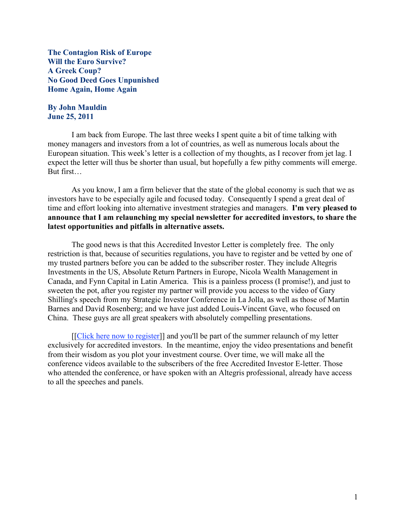The Contagion Risk of Europe Will the Euro Survive? A Greek Coup? No Good Deed Goes Unpunished Home Again, Home Again

#### By John Mauldin June 25, 2011

I am back from Europe. The last three weeks I spent quite a bit of time talking with money managers and investors from a lot of countries, as well as numerous locals about the European situation. This week's letter is a collection of my thoughts, as I recover from jet lag. I expect the letter will thus be shorter than usual, but hopefully a few pithy comments will emerge. But first…

As you know, I am a firm believer that the state of the global economy is such that we as investors have to be especially agile and focused today. Consequently I spend a great deal of time and effort looking into alternative investment strategies and managers. I'm very pleased to announce that I am relaunching my special newsletter for accredited investors, to share the latest opportunities and pitfalls in alternative assets.

The good news is that this Accredited Investor Letter is completely free. The only restriction is that, because of securities regulations, you have to register and be vetted by one of my trusted partners before you can be added to the subscriber roster. They include Altegris Investments in the US, Absolute Return Partners in Europe, Nicola Wealth Management in Canada, and Fynn Capital in Latin America. This is a painless process (I promise!), and just to sweeten the pot, after you register my partner will provide you access to the video of Gary Shilling's speech from my Strategic Investor Conference in La Jolla, as well as those of Martin Barnes and David Rosenberg; and we have just added Louis-Vincent Gave, who focused on China. These guys are all great speakers with absolutely compelling presentations.

[[Click here now to register]] and you'll be part of the summer relaunch of my letter exclusively for accredited investors. In the meantime, enjoy the video presentations and benefit from their wisdom as you plot your investment course. Over time, we will make all the conference videos available to the subscribers of the free Accredited Investor E-letter. Those who attended the conference, or have spoken with an Altegris professional, already have access to all the speeches and panels.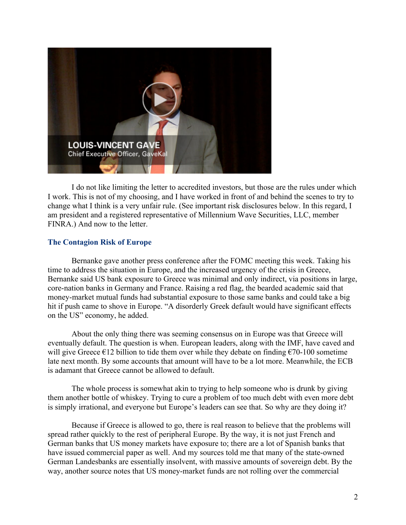

I do not like limiting the letter to accredited investors, but those are the rules under which I work. This is not of my choosing, and I have worked in front of and behind the scenes to try to change what I think is a very unfair rule. (See important risk disclosures below. In this regard, I am president and a registered representative of Millennium Wave Securities, LLC, member FINRA.) And now to the letter.

# The Contagion Risk of Europe

Bernanke gave another press conference after the FOMC meeting this week. Taking his time to address the situation in Europe, and the increased urgency of the crisis in Greece, Bernanke said US bank exposure to Greece was minimal and only indirect, via positions in large, core-nation banks in Germany and France. Raising a red flag, the bearded academic said that money-market mutual funds had substantial exposure to those same banks and could take a big hit if push came to shove in Europe. "A disorderly Greek default would have significant effects on the US" economy, he added.

About the only thing there was seeming consensus on in Europe was that Greece will eventually default. The question is when. European leaders, along with the IMF, have caved and will give Greece  $\epsilon$ 12 billion to tide them over while they debate on finding  $\epsilon$ 70-100 sometime late next month. By some accounts that amount will have to be a lot more. Meanwhile, the ECB is adamant that Greece cannot be allowed to default.

The whole process is somewhat akin to trying to help someone who is drunk by giving them another bottle of whiskey. Trying to cure a problem of too much debt with even more debt is simply irrational, and everyone but Europe's leaders can see that. So why are they doing it?

Because if Greece is allowed to go, there is real reason to believe that the problems will spread rather quickly to the rest of peripheral Europe. By the way, it is not just French and German banks that US money markets have exposure to; there are a lot of Spanish banks that have issued commercial paper as well. And my sources told me that many of the state-owned German Landesbanks are essentially insolvent, with massive amounts of sovereign debt. By the way, another source notes that US money-market funds are not rolling over the commercial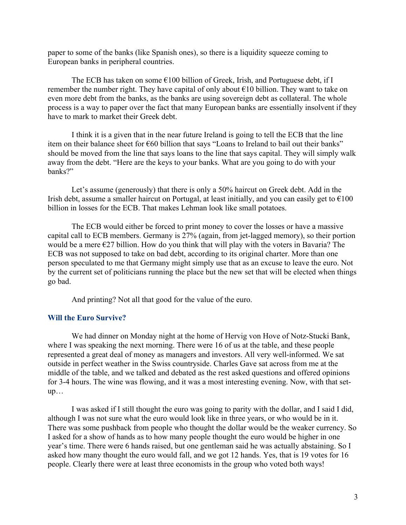paper to some of the banks (like Spanish ones), so there is a liquidity squeeze coming to European banks in peripheral countries.

The ECB has taken on some  $\epsilon$ 100 billion of Greek, Irish, and Portuguese debt, if I remember the number right. They have capital of only about  $\epsilon$ 10 billion. They want to take on even more debt from the banks, as the banks are using sovereign debt as collateral. The whole process is a way to paper over the fact that many European banks are essentially insolvent if they have to mark to market their Greek debt.

I think it is a given that in the near future Ireland is going to tell the ECB that the line item on their balance sheet for €60 billion that says "Loans to Ireland to bail out their banks" should be moved from the line that says loans to the line that says capital. They will simply walk away from the debt. "Here are the keys to your banks. What are you going to do with your banks?"

Let's assume (generously) that there is only a 50% haircut on Greek debt. Add in the Irish debt, assume a smaller haircut on Portugal, at least initially, and you can easily get to  $\epsilon 100$ billion in losses for the ECB. That makes Lehman look like small potatoes.

The ECB would either be forced to print money to cover the losses or have a massive capital call to ECB members. Germany is 27% (again, from jet-lagged memory), so their portion would be a mere  $E27$  billion. How do you think that will play with the voters in Bavaria? The ECB was not supposed to take on bad debt, according to its original charter. More than one person speculated to me that Germany might simply use that as an excuse to leave the euro. Not by the current set of politicians running the place but the new set that will be elected when things go bad.

And printing? Not all that good for the value of the euro.

### Will the Euro Survive?

We had dinner on Monday night at the home of Hervig von Hove of Notz-Stucki Bank, where I was speaking the next morning. There were 16 of us at the table, and these people represented a great deal of money as managers and investors. All very well-informed. We sat outside in perfect weather in the Swiss countryside. Charles Gave sat across from me at the middle of the table, and we talked and debated as the rest asked questions and offered opinions for 3-4 hours. The wine was flowing, and it was a most interesting evening. Now, with that setup…

I was asked if I still thought the euro was going to parity with the dollar, and I said I did, although I was not sure what the euro would look like in three years, or who would be in it. There was some pushback from people who thought the dollar would be the weaker currency. So I asked for a show of hands as to how many people thought the euro would be higher in one year's time. There were 6 hands raised, but one gentleman said he was actually abstaining. So I asked how many thought the euro would fall, and we got 12 hands. Yes, that is 19 votes for 16 people. Clearly there were at least three economists in the group who voted both ways!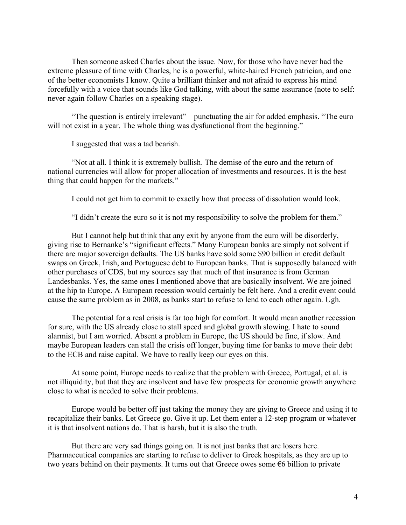Then someone asked Charles about the issue. Now, for those who have never had the extreme pleasure of time with Charles, he is a powerful, white-haired French patrician, and one of the better economists I know. Quite a brilliant thinker and not afraid to express his mind forcefully with a voice that sounds like God talking, with about the same assurance (note to self: never again follow Charles on a speaking stage).

"The question is entirely irrelevant" – punctuating the air for added emphasis. "The euro will not exist in a year. The whole thing was dysfunctional from the beginning."

I suggested that was a tad bearish.

"Not at all. I think it is extremely bullish. The demise of the euro and the return of national currencies will allow for proper allocation of investments and resources. It is the best thing that could happen for the markets."

I could not get him to commit to exactly how that process of dissolution would look.

"I didn't create the euro so it is not my responsibility to solve the problem for them."

But I cannot help but think that any exit by anyone from the euro will be disorderly, giving rise to Bernanke's "significant effects." Many European banks are simply not solvent if there are major sovereign defaults. The US banks have sold some \$90 billion in credit default swaps on Greek, Irish, and Portuguese debt to European banks. That is supposedly balanced with other purchases of CDS, but my sources say that much of that insurance is from German Landesbanks. Yes, the same ones I mentioned above that are basically insolvent. We are joined at the hip to Europe. A European recession would certainly be felt here. And a credit event could cause the same problem as in 2008, as banks start to refuse to lend to each other again. Ugh.

The potential for a real crisis is far too high for comfort. It would mean another recession for sure, with the US already close to stall speed and global growth slowing. I hate to sound alarmist, but I am worried. Absent a problem in Europe, the US should be fine, if slow. And maybe European leaders can stall the crisis off longer, buying time for banks to move their debt to the ECB and raise capital. We have to really keep our eyes on this.

At some point, Europe needs to realize that the problem with Greece, Portugal, et al. is not illiquidity, but that they are insolvent and have few prospects for economic growth anywhere close to what is needed to solve their problems.

Europe would be better off just taking the money they are giving to Greece and using it to recapitalize their banks. Let Greece go. Give it up. Let them enter a 12-step program or whatever it is that insolvent nations do. That is harsh, but it is also the truth.

But there are very sad things going on. It is not just banks that are losers here. Pharmaceutical companies are starting to refuse to deliver to Greek hospitals, as they are up to two years behind on their payments. It turns out that Greece owes some €6 billion to private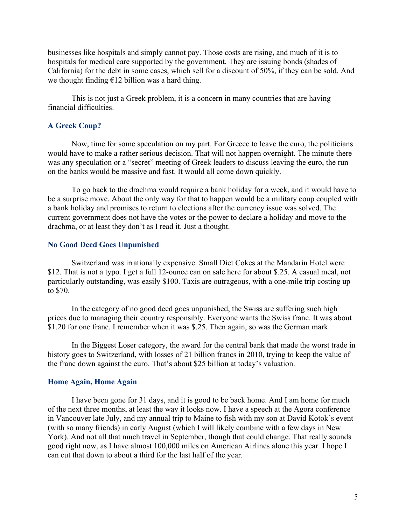businesses like hospitals and simply cannot pay. Those costs are rising, and much of it is to hospitals for medical care supported by the government. They are issuing bonds (shades of California) for the debt in some cases, which sell for a discount of 50%, if they can be sold. And we thought finding  $E12$  billion was a hard thing.

This is not just a Greek problem, it is a concern in many countries that are having financial difficulties.

### A Greek Coup?

Now, time for some speculation on my part. For Greece to leave the euro, the politicians would have to make a rather serious decision. That will not happen overnight. The minute there was any speculation or a "secret" meeting of Greek leaders to discuss leaving the euro, the run on the banks would be massive and fast. It would all come down quickly.

To go back to the drachma would require a bank holiday for a week, and it would have to be a surprise move. About the only way for that to happen would be a military coup coupled with a bank holiday and promises to return to elections after the currency issue was solved. The current government does not have the votes or the power to declare a holiday and move to the drachma, or at least they don't as I read it. Just a thought.

# No Good Deed Goes Unpunished

Switzerland was irrationally expensive. Small Diet Cokes at the Mandarin Hotel were \$12. That is not a typo. I get a full 12-ounce can on sale here for about \$.25. A casual meal, not particularly outstanding, was easily \$100. Taxis are outrageous, with a one-mile trip costing up to \$70.

In the category of no good deed goes unpunished, the Swiss are suffering such high prices due to managing their country responsibly. Everyone wants the Swiss franc. It was about \$1.20 for one franc. I remember when it was \$.25. Then again, so was the German mark.

In the Biggest Loser category, the award for the central bank that made the worst trade in history goes to Switzerland, with losses of 21 billion francs in 2010, trying to keep the value of the franc down against the euro. That's about \$25 billion at today's valuation.

#### Home Again, Home Again

I have been gone for 31 days, and it is good to be back home. And I am home for much of the next three months, at least the way it looks now. I have a speech at the Agora conference in Vancouver late July, and my annual trip to Maine to fish with my son at David Kotok's event (with so many friends) in early August (which I will likely combine with a few days in New York). And not all that much travel in September, though that could change. That really sounds good right now, as I have almost 100,000 miles on American Airlines alone this year. I hope I can cut that down to about a third for the last half of the year.